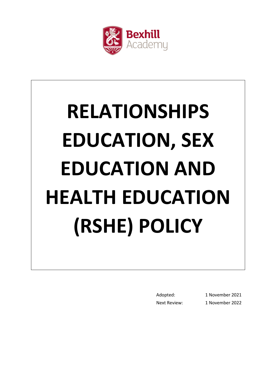

# **RELATIONSHIPS EDUCATION, SEX EDUCATION AND HEALTH EDUCATION (RSHE) POLICY**

Adopted: 1 November 2021 Next Review: 1 November 2022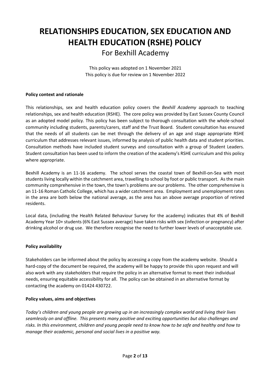# **RELATIONSHIPS EDUCATION, SEX EDUCATION AND HEALTH EDUCATION (RSHE) POLICY**

# For Bexhill Academy

This policy was adopted on 1 November 2021 This policy is due for review on 1 November 2022

# **Policy context and rationale**

This relationships, sex and health education policy covers the *Bexhill Academy* approach to teaching relationships, sex and health education (RSHE). The core policy was provided by East Sussex County Council as an adopted model policy. This policy has been subject to thorough consultation with the whole-school community including students, parents/carers, staff and the Trust Board. Student consultation has ensured that the needs of all students can be met through the delivery of an age and stage appropriate RSHE curriculum that addresses relevant issues, informed by analysis of public health data and student priorities. Consultation methods have included student surveys and consultation with a group of Student Leaders. Student consultation has been used to inform the creation of the academy's RSHE curriculum and this policy where appropriate.

Bexhill Academy is an 11-16 academy. The school serves the coastal town of Bexhill-on-Sea with most students living locally within the catchment area, travelling to school by foot or public transport. As the main community comprehensive in the town, the town's problems are our problems. The other comprehensive is an 11-16 Roman Catholic College, which has a wider catchment area. Employment and unemployment rates in the area are both below the national average, as the area has an above average proportion of retired residents.

Local data, (including the Health Related Behaviour Survey for the academy) indicates that 4% of Bexhill Academy Year 10+ students (6% East Sussex average) have taken risks with sex (infection or pregnancy) after drinking alcohol or drug use. We therefore recognise the need to further lower levels of unacceptable use.

## **Policy availability**

Stakeholders can be informed about the policy by accessing a copy from the academy website. Should a hard-copy of the document be required, the academy will be happy to provide this upon request and will also work with any stakeholders that require the policy in an alternative format to meet their individual needs, ensuring equitable accessibility for all. The policy can be obtained in an alternative format by contacting the academy on 01424 430722.

## **Policy values, aims and objectives**

*Today's children and young people are growing up in an increasingly complex world and living their lives seamlessly on and offline. This presents many positive and exciting opportunities but also challenges and risks. In this environment, children and young people need to know how to be safe and healthy and how to manage their academic, personal and social lives in a positive way.*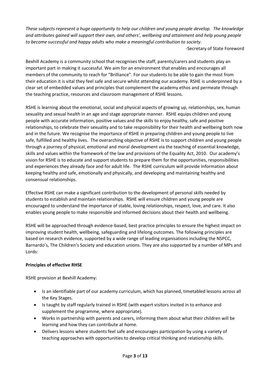*These subjects represent a huge opportunity to help our children and young people develop. The knowledge and attributes gained will support their own, and others', wellbeing and attainment and help young people to become successful and happy adults who make a meaningful contribution to society.* 

-Secretary of State Foreword

Bexhill Academy is a community school that recognises the staff, parents/carers and students play an important part in making it successful. We aim for an environment that enables and encourages all members of the community to reach for "Brilliance". For our students to be able to gain the most from their education it is vital they feel safe and secure whilst attending our academy. RSHE is underpinned by a clear set of embedded values and principles that complement the academy ethos and permeate through the teaching practice, resources and classroom management of RSHE lessons.

RSHE is learning about the emotional, social and physical aspects of growing up, relationships, sex, human sexuality and sexual health in an age and stage appropriate manner. RSHE equips children and young people with accurate information, positive values and the skills to enjoy healthy, safe and positive relationships, to celebrate their sexuality and to take responsibility for their health and wellbeing both now and in the future. We recognise the importance of RSHE in preparing children and young people to live safe, fulfilled and healthy lives. The overarching objective of RSHE is to support children and young people through a journey of physical, emotional and moral development via the teaching of essential knowledge, skills and values within the framework of the law and provisions of the Equality Act, 2010. Our academy's vision for RSHE is to educate and support students to prepare them for the opportunities, responsibilities and experiences they already face and for adult life. The RSHE curriculum will provide information about keeping healthy and safe, emotionally and physically, and developing and maintaining healthy and consensual relationships.

Effective RSHE can make a significant contribution to the development of personal skills needed by students to establish and maintain relationships. RSHE will ensure children and young people are encouraged to understand the importance of stable, loving relationships, respect, love, and care. It also enables young people to make responsible and informed decisions about their health and wellbeing.

RSHE will be approached through evidence-based, best practice principles to ensure the highest impact on improving student health, wellbeing, safeguarding and lifelong outcomes. The following principles are based on research evidence, supported by a wide range of leading organisations including the NSPCC, Barnardo's, The Children's Society and education unions. They are also supported by a number of MPs and Lords:

# **Principles of effective RHSE**

RSHE provision at Bexhill Academy:

- Is an identifiable part of our academy curriculum, which has planned, timetabled lessons across all the Key Stages.
- Is taught by staff regularly trained in RSHE (with expert visitors invited in to enhance and supplement the programme, where appropriate).
- Works in partnership with parents and carers, informing them about what their children will be learning and how they can contribute at home.
- Delivers lessons where students feel safe and encourages participation by using a variety of teaching approaches with opportunities to develop critical thinking and relationship skills.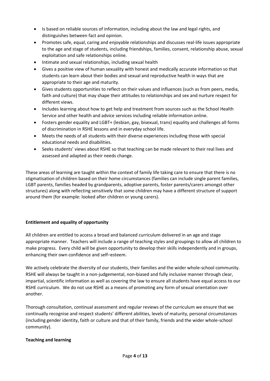- Is based on reliable sources of information, including about the law and legal rights, and distinguishes between fact and opinion.
- Promotes safe, equal, caring and enjoyable relationships and discusses real-life issues appropriate to the age and stage of students, including friendships, families, consent, relationship abuse, sexual exploitation and safe relationships online.
- Intimate and sexual relationships, including sexual health
- Gives a positive view of human sexuality with honest and medically accurate information so that students can learn about their bodies and sexual and reproductive health in ways that are appropriate to their age and maturity.
- Gives students opportunities to reflect on their values and influences (such as from peers, media, faith and culture) that may shape their attitudes to relationships and sex and nurture respect for different views.
- Includes learning about how to get help and treatment from sources such as the School Health Service and other health and advice services including reliable information online.
- Fosters gender equality and LGBT+ (lesbian, gay, bisexual, trans) equality and challenges all forms of discrimination in RSHE lessons and in everyday school life.
- Meets the needs of all students with their diverse experiences including those with special educational needs and disabilities.
- Seeks students' views about RSHE so that teaching can be made relevant to their real lives and assessed and adapted as their needs change.

These areas of learning are taught within the context of family life taking care to ensure that there is no stigmatisation of children based on their home circumstances (families can include single parent families, LGBT parents, families headed by grandparents, adoptive parents, foster parents/carers amongst other structures) along with reflecting sensitively that some children may have a different structure of support around them (for example: looked after children or young carers).

# **Entitlement and equality of opportunity**

All children are entitled to access a broad and balanced curriculum delivered in an age and stage appropriate manner. Teachers will include a range of teaching styles and groupings to allow all children to make progress. Every child will be given opportunity to develop their skills independently and in groups, enhancing their own confidence and self–esteem.

We actively celebrate the diversity of our students, their families and the wider whole-school community. RSHE will always be taught in a non-judgemental, non-biased and fully inclusive manner through clear, impartial, scientific information as well as covering the law to ensure all students have equal access to our RSHE curriculum. We do not use RSHE as a means of promoting any form of sexual orientation over another.

Thorough consultation, continual assessment and regular reviews of the curriculum we ensure that we continually recognise and respect students' different abilities, levels of maturity, personal circumstances (including gender identity, faith or culture and that of their family, friends and the wider whole-school community).

# **Teaching and learning**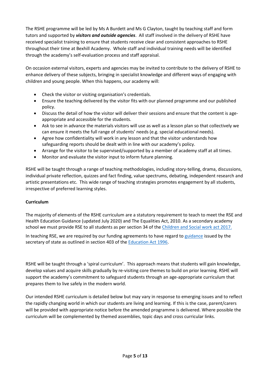The RSHE programme will be led by Ms A Burdett and Ms G Clayton, taught by teaching staff and form tutors and supported by *visitors and outside agencies*. All staff involved in the delivery of RSHE have received specialist training to ensure that students receive clear and consistent approaches to RSHE throughout their time at Bexhill Academy. Whole staff and individual training needs will be identified through the academy's self-evaluation process and staff appraisal.

On occasion external visitors, experts and agencies may be invited to contribute to the delivery of RSHE to enhance delivery of these subjects, bringing in specialist knowledge and different ways of engaging with children and young people. When this happens, our academy will:

- Check the visitor or visiting organisation's credentials.
- Ensure the teaching delivered by the visitor fits with our planned programme and our published policy.
- Discuss the detail of how the visitor will deliver their sessions and ensure that the content is ageappropriate and accessible for the students.
- Ask to see in advance the materials visitors will use as well as a lesson plan so that collectively we can ensure it meets the full range of students' needs (e.g. special educational needs).
- Agree how confidentiality will work in any lesson and that the visitor understands how safeguarding reports should be dealt with in line with our academy's policy.
- Arrange for the visitor to be supervised/supported by a member of academy staff at all times.
- Monitor and evaluate the visitor input to inform future planning.

RSHE will be taught through a range of teaching methodologies, including story-telling, drama, discussions, individual private reflection, quizzes and fact finding, value spectrums, debating, independent research and artistic presentations etc. This wide range of teaching strategies promotes engagement by all students, irrespective of preferred learning styles.

# **Curriculum**

The majority of elements of the RSHE curriculum are a statutory requirement to teach to meet the RSE and Health Education Guidance (updated July 2020) and The Equalities Act, 2010. As a secondary academy school we must provide RSE to all students as per section 34 of th[e Children and Social work act 2017.](http://www.legislation.gov.uk/ukpga/2017/16/section/34/enacted)

In teaching RSE, we are required by our funding agreements to have regard to [guidance](https://www.gov.uk/government/consultations/relationships-and-sex-education-and-health-education) issued by the secretary of state as outlined in section 403 of the [Education Act 1996.](http://www.legislation.gov.uk/ukpga/1996/56/contents)

RSHE will be taught through a 'spiral curriculum'. This approach means that students will gain knowledge, develop values and acquire skills gradually by re-visiting core themes to build on prior learning. RSHE will support the academy's commitment to safeguard students through an age-appropriate curriculum that prepares them to live safely in the modern world.

Our intended RSHE curriculum is detailed below but may vary in response to emerging issues and to reflect the rapidly changing world in which our students are living and learning. If this is the case, parent/carers will be provided with appropriate notice before the amended programme is delivered. Where possible the curriculum will be complemented by themed assemblies, topic days and cross curricular links.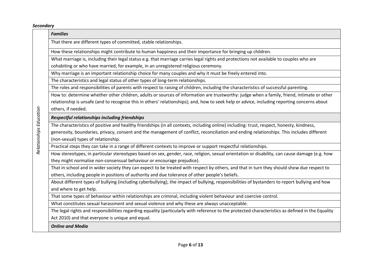# *Secondary*

| <b>Families</b>                                                                                                                                   |
|---------------------------------------------------------------------------------------------------------------------------------------------------|
| That there are different types of committed, stable relationships.                                                                                |
| How these relationships might contribute to human happiness and their importance for bringing up children.                                        |
| What marriage is, including their legal status e.g. that marriage carries legal rights and protections not available to couples who are           |
| cohabiting or who have married, for example, in an unregistered religious ceremony.                                                               |
| Why marriage is an important relationship choice for many couples and why it must be freely entered into.                                         |
| The characteristics and legal status of other types of long-term relationships.                                                                   |
| The roles and responsibilities of parents with respect to raising of children, including the characteristics of successful parenting.             |
| How to: determine whether other children, adults or sources of information are trustworthy: judge when a family, friend, intimate or other        |
| relationship is unsafe (and to recognise this in others' relationships); and, how to seek help or advice, including reporting concerns about      |
| others, if needed.                                                                                                                                |
| <b>Respectful relationships including friendships</b>                                                                                             |
| The characteristics of positive and healthy friendships (in all contexts, including online) including: trust, respect, honesty, kindness,         |
| generosity, boundaries, privacy, consent and the management of conflict, reconciliation and ending relationships. This includes different         |
| (non-sexual) types of relationship.                                                                                                               |
| Practical steps they can take in a range of different contexts to improve or support respectful relationships.                                    |
| How stereotypes, in particular stereotypes based on sex, gender, race, religion, sexual orientation or disability, can cause damage (e.g. how     |
| they might normalise non-consensual behaviour or encourage prejudice).                                                                            |
| That in school and in wider society they can expect to be treated with respect by others, and that in turn they should show due respect to        |
| others, including people in positions of authority and due tolerance of other people's beliefs.                                                   |
| About different types of bullying (including cyberbullying), the impact of bullying, responsibilities of bystanders to report bullying and how    |
| and where to get help.                                                                                                                            |
| That some types of behaviour within relationships are criminal, including violent behaviour and coercive control.                                 |
| What constitutes sexual harassment and sexual violence and why these are always unacceptable.                                                     |
| The legal rights and responsibilities regarding equality (particularly with reference to the protected characteristics as defined in the Equality |
| Act 2010) and that everyone is unique and equal.                                                                                                  |
| <b>Online and Media</b>                                                                                                                           |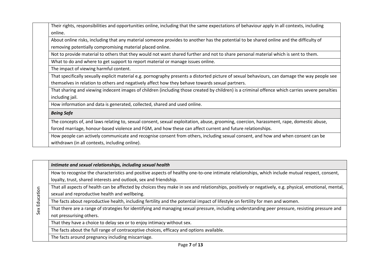Their rights, responsibilities and opportunities online, including that the same expectations of behaviour apply in all contexts, including online.

About online risks, including that any material someone provides to another has the potential to be shared online and the difficulty of removing potentially compromising material placed online.

Not to provide material to others that they would not want shared further and not to share personal material which is sent to them.

What to do and where to get support to report material or manage issues online.

The impact of viewing harmful content.

That specifically sexually explicit material e.g. pornography presents a distorted picture of sexual behaviours, can damage the way people see themselves in relation to others and negatively affect how they behave towards sexual partners.

That sharing and viewing indecent images of children (including those created by children) is a criminal offence which carries severe penalties including jail.

How information and data is generated, collected, shared and used online.

# *Being Safe*

The concepts of, and laws relating to, sexual consent, sexual exploitation, abuse, grooming, coercion, harassment, rape, domestic abuse, forced marriage, honour-based violence and FGM, and how these can affect current and future relationships.

How people can actively communicate and recognise consent from others, including sexual consent, and how and when consent can be withdrawn (in all contexts, including online).

| Educatio<br>Sex | Intimate and sexual relationships, including sexual health                                                                                            |
|-----------------|-------------------------------------------------------------------------------------------------------------------------------------------------------|
|                 | How to recognise the characteristics and positive aspects of healthy one-to-one intimate relationships, which include mutual respect, consent,        |
|                 | loyalty, trust, shared interests and outlook, sex and friendship.                                                                                     |
|                 | That all aspects of health can be affected by choices they make in sex and relationships, positively or negatively, e.g. physical, emotional, mental, |
|                 | sexual and reproductive health and wellbeing.                                                                                                         |
|                 | The facts about reproductive health, including fertility and the potential impact of lifestyle on fertility for men and women.                        |
|                 | That there are a range of strategies for identifying and managing sexual pressure, including understanding peer pressure, resisting pressure and      |
|                 | not pressurising others.                                                                                                                              |
|                 | That they have a choice to delay sex or to enjoy intimacy without sex.                                                                                |
|                 | The facts about the full range of contraceptive choices, efficacy and options available.                                                              |
|                 | The facts around pregnancy including miscarriage.                                                                                                     |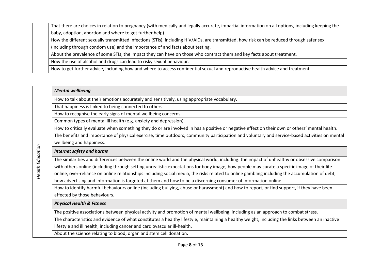That there are choices in relation to pregnancy (with medically and legally accurate, impartial information on all options, including keeping the baby, adoption, abortion and where to get further help).

How the different sexually transmitted infections (STIs), including HIV/AIDs, are transmitted, how risk can be reduced through safer sex (including through condom use) and the importance of and facts about testing.

About the prevalence of some STIs, the impact they can have on those who contract them and key facts about treatment.

How the use of alcohol and drugs can lead to risky sexual behaviour.

How to get further advice, including how and where to access confidential sexual and reproductive health advice and treatment.

| <b>Health Education</b> | <b>Mental wellbeing</b>                                                                                                                         |
|-------------------------|-------------------------------------------------------------------------------------------------------------------------------------------------|
|                         | How to talk about their emotions accurately and sensitively, using appropriate vocabulary.                                                      |
|                         | That happiness is linked to being connected to others.                                                                                          |
|                         | How to recognise the early signs of mental wellbeing concerns.                                                                                  |
|                         | Common types of mental ill health (e.g. anxiety and depression).                                                                                |
|                         | How to critically evaluate when something they do or are involved in has a positive or negative effect on their own or others' mental health.   |
|                         | The benefits and importance of physical exercise, time outdoors, community participation and voluntary and service-based activities on mental   |
|                         | wellbeing and happiness.                                                                                                                        |
|                         | <b>Internet safety and harms</b>                                                                                                                |
|                         | The similarities and differences between the online world and the physical world, including: the impact of unhealthy or obsessive comparison    |
|                         | with others online (including through setting unrealistic expectations for body image, how people may curate a specific image of their life     |
|                         | online, over-reliance on online relationships including social media, the risks related to online gambling including the accumulation of debt,  |
|                         | how advertising and information is targeted at them and how to be a discerning consumer of information online.                                  |
|                         | How to identify harmful behaviours online (including bullying, abuse or harassment) and how to report, or find support, if they have been       |
|                         | affected by those behaviours.                                                                                                                   |
|                         | <b>Physical Health &amp; Fitness</b>                                                                                                            |
|                         | The positive associations between physical activity and promotion of mental wellbeing, including as an approach to combat stress.               |
|                         | The characteristics and evidence of what constitutes a healthy lifestyle, maintaining a healthy weight, including the links between an inactive |
|                         | lifestyle and ill health, including cancer and cardiovascular ill-health.                                                                       |
|                         | About the science relating to blood, organ and stem cell donation.                                                                              |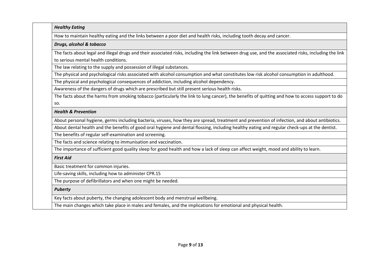| <b>Healthy Eating</b>                                                                                                                                 |  |
|-------------------------------------------------------------------------------------------------------------------------------------------------------|--|
| How to maintain healthy eating and the links between a poor diet and health risks, including tooth decay and cancer.                                  |  |
| Drugs, alcohol & tobacco                                                                                                                              |  |
| The facts about legal and illegal drugs and their associated risks, including the link between drug use, and the associated risks, including the link |  |
| to serious mental health conditions.                                                                                                                  |  |
| The law relating to the supply and possession of illegal substances.                                                                                  |  |
| The physical and psychological risks associated with alcohol consumption and what constitutes low risk alcohol consumption in adulthood.              |  |
| The physical and psychological consequences of addiction, including alcohol dependency.                                                               |  |
| Awareness of the dangers of drugs which are prescribed but still present serious health risks.                                                        |  |
| The facts about the harms from smoking tobacco (particularly the link to lung cancer), the benefits of quitting and how to access support to do       |  |
| SO.                                                                                                                                                   |  |
| <b>Health &amp; Prevention</b>                                                                                                                        |  |
| About personal hygiene, germs including bacteria, viruses, how they are spread, treatment and prevention of infection, and about antibiotics.         |  |
| About dental health and the benefits of good oral hygiene and dental flossing, including healthy eating and regular check-ups at the dentist.         |  |
| The benefits of regular self-examination and screening.                                                                                               |  |
| The facts and science relating to immunisation and vaccination.                                                                                       |  |
| The importance of sufficient good quality sleep for good health and how a lack of sleep can affect weight, mood and ability to learn.                 |  |

*First Aid*

Basic treatment for common injuries.

Life-saving skills, including how to administer CPR.15

The purpose of defibrillators and when one might be needed.

*Puberty*

Key facts about puberty, the changing adolescent body and menstrual wellbeing.

The main changes which take place in males and females, and the implications for emotional and physical health.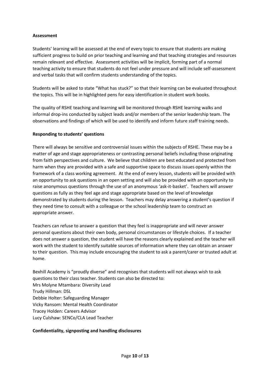# **Assessment**

Students' learning will be assessed at the end of every topic to ensure that students are making sufficient progress to build on prior teaching and learning and that teaching strategies and resources remain relevant and effective. Assessment activities will be implicit, forming part of a normal teaching activity to ensure that students do not feel under pressure and will include self-assessment and verbal tasks that will confirm students understanding of the topics.

Students will be asked to state "What has stuck?" so that their learning can be evaluated throughout the topics. This will be in highlighted pens for easy identification in student work books.

The quality of RSHE teaching and learning will be monitored through RSHE learning walks and informal drop-ins conducted by subject leads and/or members of the senior leadership team. The observations and findings of which will be used to identify and inform future staff training needs.

# **Responding to students' questions**

There will always be sensitive and controversial issues within the subjects of RSHE. These may be a matter of age and stage appropriateness or contrasting personal beliefs including those originating from faith perspectives and culture. We believe that children are best educated and protected from harm when they are provided with a safe and supportive space to discuss issues openly within the framework of a class working agreement. At the end of every lesson, students will be provided with an opportunity to ask questions in an open setting and will also be provided with an opportunity to raise anonymous questions through the use of an anonymous 'ask-it-basket'. Teachers will answer questions as fully as they feel age and stage appropriate based on the level of knowledge demonstrated by students during the lesson. Teachers may delay answering a student's question if they need time to consult with a colleague or the school leadership team to construct an appropriate answer.

Teachers can refuse to answer a question that they feel is inappropriate and will never answer personal questions about their own body, personal circumstances or lifestyle choices. If a teacher does not answer a question, the student will have the reasons clearly explained and the teacher will work with the student to identify suitable sources of information where they can obtain an answer to their question. This may include encouraging the student to ask a parent/carer or trusted adult at home.

Bexhill Academy is "proudly diverse" and recognises that students will not always wish to ask questions to their class teacher. Students can also be directed to: Mrs Molyne Mtambara: Diversity Lead Trudy Hillman: DSL Debbie Holter: Safeguarding Manager Vicky Ransom: Mental Health Coordinator Tracey Holden: Careers Advisor Lucy Culshaw: SENCo/CLA Lead Teacher

## **Confidentiality, signposting and handling disclosures**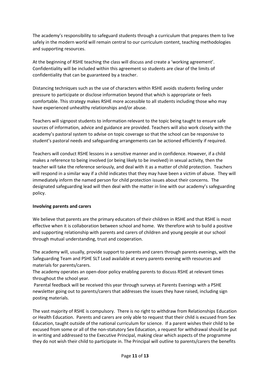The academy's responsibility to safeguard students through a curriculum that prepares them to live safely in the modern world will remain central to our curriculum content, teaching methodologies and supporting resources.

At the beginning of RSHE teaching the class will discuss and create a 'working agreement'. Confidentiality will be included within this agreement so students are clear of the limits of confidentiality that can be guaranteed by a teacher.

Distancing techniques such as the use of characters within RSHE avoids students feeling under pressure to participate or disclose information beyond that which is appropriate or feels comfortable. This strategy makes RSHE more accessible to all students including those who may have experienced unhealthy relationships and/or abuse.

Teachers will signpost students to information relevant to the topic being taught to ensure safe sources of information, advice and guidance are provided. Teachers will also work closely with the academy's pastoral system to advise on topic coverage so that the school can be responsive to student's pastoral needs and safeguarding arrangements can be actioned efficiently if required.

Teachers will conduct RSHE lessons in a sensitive manner and in confidence. However, if a child makes a reference to being involved (or being likely to be involved) in sexual activity, then the teacher will take the reference seriously, and deal with it as a matter of child protection. Teachers will respond in a similar way if a child indicates that they may have been a victim of abuse. They will immediately inform the named person for child protection issues about their concerns. The designated safeguarding lead will then deal with the matter in line with our academy's safeguarding policy.

# **Involving parents and carers**

We believe that parents are the primary educators of their children in RSHE and that RSHE is most effective when it is collaboration between school and home. We therefore wish to build a positive and supporting relationship with parents and carers of children and young people at our school through mutual understanding, trust and cooperation.

The academy will, usually, provide support to parents and carers through parents evenings, with the Safeguarding Team and PSHE SLT Lead available at every parents evening with resources and materials for parents/carers.

The academy operates an open-door policy enabling parents to discuss RSHE at relevant times throughout the school year.

Parental feedback will be received this year through surveys at Parents Evenings with a PSHE newsletter going out to parents/carers that addresses the issues they have raised, including sign posting materials.

The vast majority of RSHE is compulsory. There is no right to withdraw from Relationships Education or Health Education. Parents and carers are only able to request that their child is excused from Sex Education, taught outside of the national curriculum for science. If a parent wishes their child to be excused from some or all of the non-statutory Sex Education, a request for withdrawal should be put in writing and addressed to the Executive Principal, making clear which aspects of the programme they do not wish their child to participate in. The Principal will outline to parents/carers the benefits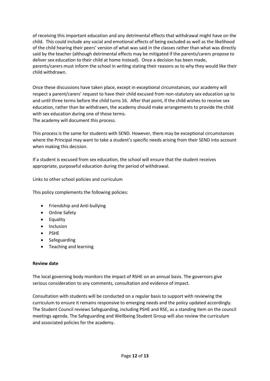of receiving this important education and any detrimental effects that withdrawal might have on the child. This could include any social and emotional effects of being excluded as well as the likelihood of the child hearing their peers' version of what was said in the classes rather than what was directly said by the teacher (although detrimental effects may be mitigated if the parents/carers propose to deliver sex education to their child at home instead). Once a decision has been made, parents/carers must inform the school in writing stating their reasons as to why they would like their child withdrawn.

Once these discussions have taken place, except in exceptional circumstances, our academy will respect a parent/carers' request to have their child excused from non-statutory sex education up to and until three terms before the child turns 16. After that point, if the child wishes to receive sex education, rather than be withdrawn, the academy should make arrangements to provide the child with sex education during one of those terms.

The academy will document this process.

This process is the same for students with SEND. However, there may be exceptional circumstances where the Principal may want to take a student's specific needs arising from their SEND into account when making this decision.

If a student is excused from sex education, the school will ensure that the student receives appropriate, purposeful education during the period of withdrawal.

Links to other school policies and curriculum

This policy complements the following policies:

- Friendship and Anti-bullying
- Online Safety
- Equality
- Inclusion
- PSHE
- Safeguarding
- Teaching and learning

# **Review date**

The local governing body monitors the impact of RSHE on an annual basis. The governors give serious consideration to any comments, consultation and evidence of impact.

Consultation with students will be conducted on a regular basis to support with reviewing the curriculum to ensure it remains responsive to emerging needs and the policy updated accordingly. The Student Council reviews Safeguarding, including PSHE and RSE, as a standing item on the council meetings agenda. The Safeguarding and Wellbeing Student Group will also review the curriculum and associated policies for the academy.